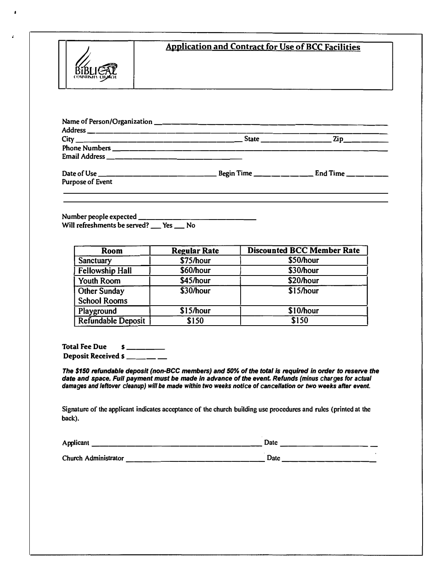

## **Application and Contract for Use of BCC Facilities**

|                         | $State$ | . Zip__ <b>_____</b> __ |
|-------------------------|---------|-------------------------|
|                         |         |                         |
|                         |         |                         |
|                         |         |                         |
| <b>Purpose of Event</b> |         |                         |

**Number people expected \_\_\_\_\_\_\_\_\_\_\_\_ \_**  Will refreshments be served? \_\_ Yes \_\_ No

| Room                      | <b>Regular Rate</b> | <b>Discounted BCC Member Rate</b> |
|---------------------------|---------------------|-----------------------------------|
| Sanctuary                 | \$75/hour           | \$50/hour                         |
| <b>Fellowship Hall</b>    | \$60/hour           | \$30/hour                         |
| <b>Youth Room</b>         | \$45/hour           | \$20/hour                         |
| <b>Other Sunday</b>       | \$30/hour           | \$15/hour                         |
| <b>School Rooms</b>       |                     |                                   |
| Playground                | \$15/hour           | \$10/hour                         |
| <b>Refundable Deposit</b> | \$150               | \$150                             |

**Total Fee Due \$ \_\_\_\_ Deposit Received \$ \_\_\_\_ \_\_ \_\_** 

*The \$150 refundable deposit (non-BCC members) and 50% of the total ls required in order to reserve the date and* **space.** *Full payment must be* **made** *In* **advance** *of the event Refunds (minus charges for actual damages and leftover cleanup) will be made within two weeks notice of cancellation or two weeks after event.*

**Signature of the applicant indicates acceptance of the church building use procedures and rules (printed at the back).** 

| Applicant            | Date |  |  |
|----------------------|------|--|--|
| Church Administrator | Date |  |  |